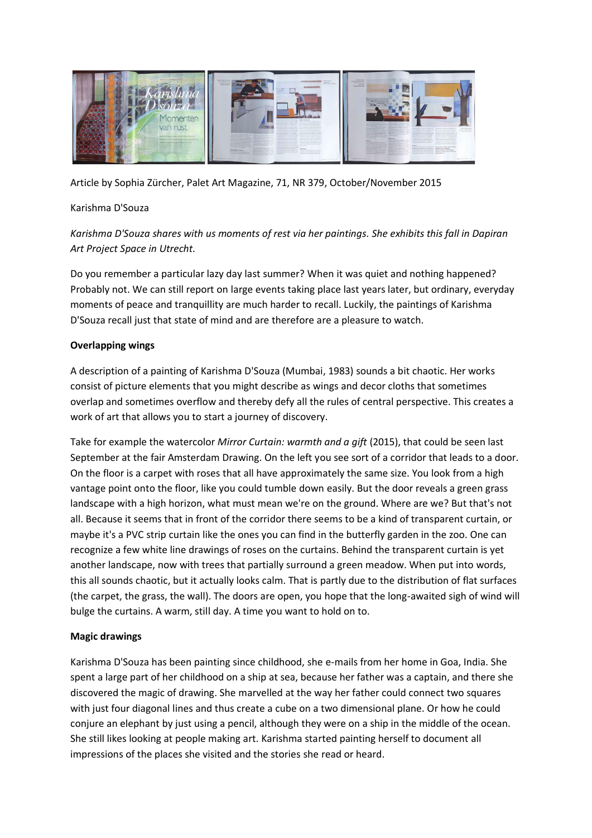

Article by Sophia Zürcher, Palet Art Magazine, 71, NR 379, October/November 2015

### Karishma D'Souza

*Karishma D'Souza shares with us moments of rest via her paintings. She exhibits this fall in Dapiran Art Project Space in Utrecht.*

Do you remember a particular lazy day last summer? When it was quiet and nothing happened? Probably not. We can still report on large events taking place last years later, but ordinary, everyday moments of peace and tranquillity are much harder to recall. Luckily, the paintings of Karishma D'Souza recall just that state of mind and are therefore are a pleasure to watch.

# **Overlapping wings**

A description of a painting of Karishma D'Souza (Mumbai, 1983) sounds a bit chaotic. Her works consist of picture elements that you might describe as wings and decor cloths that sometimes overlap and sometimes overflow and thereby defy all the rules of central perspective. This creates a work of art that allows you to start a journey of discovery.

Take for example the watercolor *Mirror Curtain: warmth and a gift* (2015), that could be seen last September at the fair Amsterdam Drawing. On the left you see sort of a corridor that leads to a door. On the floor is a carpet with roses that all have approximately the same size. You look from a high vantage point onto the floor, like you could tumble down easily. But the door reveals a green grass landscape with a high horizon, what must mean we're on the ground. Where are we? But that's not all. Because it seems that in front of the corridor there seems to be a kind of transparent curtain, or maybe it's a PVC strip curtain like the ones you can find in the butterfly garden in the zoo. One can recognize a few white line drawings of roses on the curtains. Behind the transparent curtain is yet another landscape, now with trees that partially surround a green meadow. When put into words, this all sounds chaotic, but it actually looks calm. That is partly due to the distribution of flat surfaces (the carpet, the grass, the wall). The doors are open, you hope that the long-awaited sigh of wind will bulge the curtains. A warm, still day. A time you want to hold on to.

### **Magic drawings**

Karishma D'Souza has been painting since childhood, she e-mails from her home in Goa, India. She spent a large part of her childhood on a ship at sea, because her father was a captain, and there she discovered the magic of drawing. She marvelled at the way her father could connect two squares with just four diagonal lines and thus create a cube on a two dimensional plane. Or how he could conjure an elephant by just using a pencil, although they were on a ship in the middle of the ocean. She still likes looking at people making art. Karishma started painting herself to document all impressions of the places she visited and the stories she read or heard.